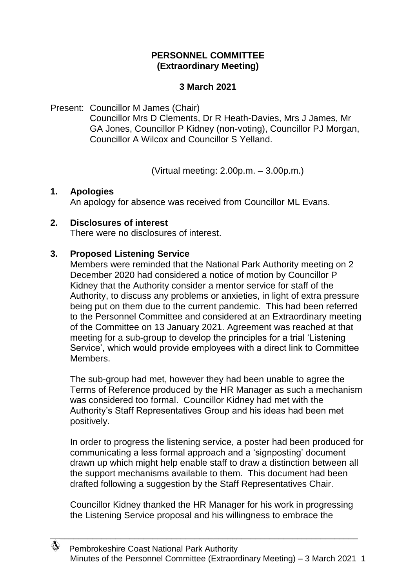# **PERSONNEL COMMITTEE (Extraordinary Meeting)**

# **3 March 2021**

### Present: Councillor M James (Chair)

Councillor Mrs D Clements, Dr R Heath-Davies, Mrs J James, Mr GA Jones, Councillor P Kidney (non-voting), Councillor PJ Morgan, Councillor A Wilcox and Councillor S Yelland.

(Virtual meeting: 2.00p.m. – 3.00p.m.)

### **1. Apologies**

An apology for absence was received from Councillor ML Evans.

### **2. Disclosures of interest**

There were no disclosures of interest.

# **3. Proposed Listening Service**

Members were reminded that the National Park Authority meeting on 2 December 2020 had considered a notice of motion by Councillor P Kidney that the Authority consider a mentor service for staff of the Authority, to discuss any problems or anxieties, in light of extra pressure being put on them due to the current pandemic. This had been referred to the Personnel Committee and considered at an Extraordinary meeting of the Committee on 13 January 2021. Agreement was reached at that meeting for a sub-group to develop the principles for a trial 'Listening Service', which would provide employees with a direct link to Committee Members.

The sub-group had met, however they had been unable to agree the Terms of Reference produced by the HR Manager as such a mechanism was considered too formal. Councillor Kidney had met with the Authority's Staff Representatives Group and his ideas had been met positively.

In order to progress the listening service, a poster had been produced for communicating a less formal approach and a 'signposting' document drawn up which might help enable staff to draw a distinction between all the support mechanisms available to them. This document had been drafted following a suggestion by the Staff Representatives Chair.

Councillor Kidney thanked the HR Manager for his work in progressing the Listening Service proposal and his willingness to embrace the

\_\_\_\_\_\_\_\_\_\_\_\_\_\_\_\_\_\_\_\_\_\_\_\_\_\_\_\_\_\_\_\_\_\_\_\_\_\_\_\_\_\_\_\_\_\_\_\_\_\_\_\_\_\_\_\_\_\_\_\_\_\_\_\_\_\_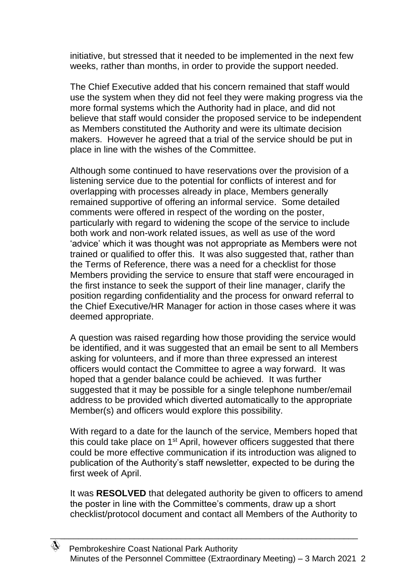initiative, but stressed that it needed to be implemented in the next few weeks, rather than months, in order to provide the support needed.

The Chief Executive added that his concern remained that staff would use the system when they did not feel they were making progress via the more formal systems which the Authority had in place, and did not believe that staff would consider the proposed service to be independent as Members constituted the Authority and were its ultimate decision makers. However he agreed that a trial of the service should be put in place in line with the wishes of the Committee.

Although some continued to have reservations over the provision of a listening service due to the potential for conflicts of interest and for overlapping with processes already in place, Members generally remained supportive of offering an informal service. Some detailed comments were offered in respect of the wording on the poster, particularly with regard to widening the scope of the service to include both work and non-work related issues, as well as use of the word 'advice' which it was thought was not appropriate as Members were not trained or qualified to offer this. It was also suggested that, rather than the Terms of Reference, there was a need for a checklist for those Members providing the service to ensure that staff were encouraged in the first instance to seek the support of their line manager, clarify the position regarding confidentiality and the process for onward referral to the Chief Executive/HR Manager for action in those cases where it was deemed appropriate.

A question was raised regarding how those providing the service would be identified, and it was suggested that an email be sent to all Members asking for volunteers, and if more than three expressed an interest officers would contact the Committee to agree a way forward. It was hoped that a gender balance could be achieved. It was further suggested that it may be possible for a single telephone number/email address to be provided which diverted automatically to the appropriate Member(s) and officers would explore this possibility.

With regard to a date for the launch of the service, Members hoped that this could take place on 1<sup>st</sup> April, however officers suggested that there could be more effective communication if its introduction was aligned to publication of the Authority's staff newsletter, expected to be during the first week of April.

It was **RESOLVED** that delegated authority be given to officers to amend the poster in line with the Committee's comments, draw up a short checklist/protocol document and contact all Members of the Authority to

\_\_\_\_\_\_\_\_\_\_\_\_\_\_\_\_\_\_\_\_\_\_\_\_\_\_\_\_\_\_\_\_\_\_\_\_\_\_\_\_\_\_\_\_\_\_\_\_\_\_\_\_\_\_\_\_\_\_\_\_\_\_\_\_\_\_